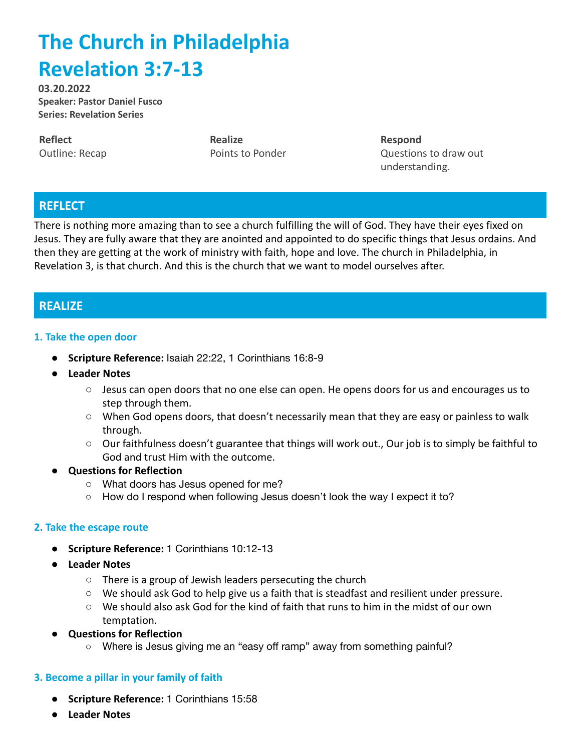# **The Church in Philadelphia Revelation 3:7-13**

**03.20.2022 Speaker: Pastor Daniel Fusco Series: Revelation Series**

**Reflect** Outline: Recap **Realize** Points to Ponder **Respond** Questions to draw out understanding.

## **REFLECT**

There is nothing more amazing than to see a church fulfilling the will of God. They have their eyes fixed on Jesus. They are fully aware that they are anointed and appointed to do specific things that Jesus ordains. And then they are getting at the work of ministry with faith, hope and love. The church in Philadelphia, in Revelation 3, is that church. And this is the church that we want to model ourselves after.

## **REALIZE**

### **1. Take the open door**

- **● Scripture Reference:** Isaiah 22:22, 1 Corinthians 16:8-9
- **● Leader Notes**
	- Jesus can open doors that no one else can open. He opens doors for us and encourages us to step through them.
	- When God opens doors, that doesn't necessarily mean that they are easy or painless to walk through.
	- Our faithfulness doesn't guarantee that things will work out., Our job is to simply be faithful to God and trust Him with the outcome.
- **Questions for Reflection**
	- **○** What doors has Jesus opened for me?
	- How do I respond when following Jesus doesn't look the way I expect it to?

### **2. Take the escape route**

- **● Scripture Reference:** 1 Corinthians 10:12-13
- **● Leader Notes**
	- There is a group of Jewish leaders persecuting the church
	- We should ask God to help give us a faith that is steadfast and resilient under pressure.
	- We should also ask God for the kind of faith that runs to him in the midst of our own temptation.
- **Questions for Reflection**
	- Where is Jesus giving me an "easy off ramp" away from something painful?

### **3. Become a pillar in your family of faith**

- **● Scripture Reference:** 1 Corinthians 15:58
- **● Leader Notes**